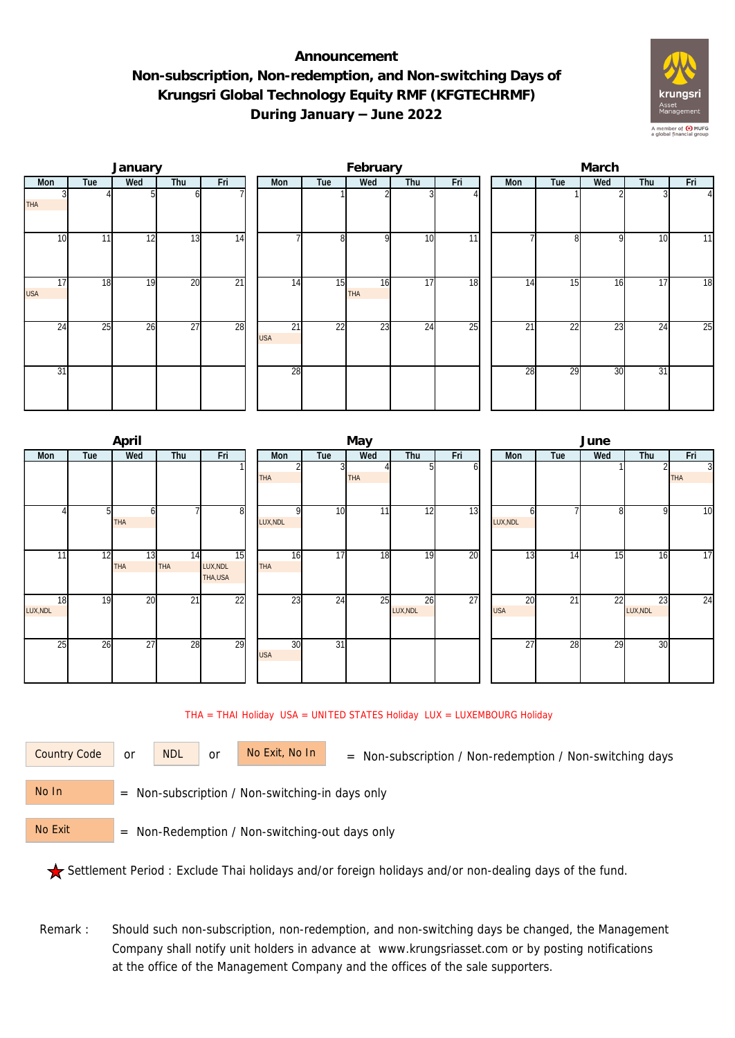## **Announcement Non-subscription, Non-redemption, and Non-switching Days of Krungsri Global Technology Equity RMF (KFGTECHRMF) During January – June 2022**



|                  |     | January |                 |                 |                  |                 | February  |                 |                 | March |     |                 |     |     |                |  |
|------------------|-----|---------|-----------------|-----------------|------------------|-----------------|-----------|-----------------|-----------------|-------|-----|-----------------|-----|-----|----------------|--|
| Mon              | Tue | Wed     | Thu             | Fri             | Mon              | Tue             | Wed       | Thu             | Fri             |       | Mon | Tue             | Wed | Thu | Fri            |  |
| <b>THA</b>       |     |         | ωI              |                 |                  |                 |           |                 |                 |       |     |                 |     |     | $\overline{4}$ |  |
| 10               | 11  | 12      | 13              | 14              |                  | 8               | οI        | 10              | $\overline{11}$ |       |     | 81              | 9   | 10  | 11             |  |
| 17<br><b>USA</b> | 18  | 19      | 20              | $\overline{21}$ | 14               | 15              | 16<br>THA | 17              | 18              |       | 14  | 15              | 16  | 17  | 18             |  |
| $2\overline{4}$  | 25  | 26      | $\overline{27}$ | 28              | 21<br><b>USA</b> | $\overline{22}$ | 23        | $2\overline{4}$ | $\overline{25}$ |       | 21  | $2\overline{2}$ | 23  | 24  | 25             |  |
| 31               |     |         |                 |                 | 28               |                 |           |                 |                 |       | 28  | 29              | 30  | 31  |                |  |

|                |     | April            |           |                           |  |                  |                 | May        |                |     | June             |     |     |                |                 |  |  |
|----------------|-----|------------------|-----------|---------------------------|--|------------------|-----------------|------------|----------------|-----|------------------|-----|-----|----------------|-----------------|--|--|
| Mon            | Tue | Wed              | Thu       | Fri                       |  | Mon              | Tue             | Wed        | Thu            | Fri | Mon              | Tue | Wed | Thu            | Fri             |  |  |
|                |     |                  |           |                           |  | THA              |                 | <b>THA</b> | 51             | οı  |                  |     |     |                | 3<br><b>THA</b> |  |  |
|                | 51  | h<br>THA         |           | 8                         |  | LUX, NDL         | 10              | 11         | 12             | 13  | h<br>LUX, NDL    |     | 8   | 9              | $\overline{10}$ |  |  |
| 11             | 12  | 13<br><b>THA</b> | 14<br>THA | 15<br>LUX, NDL<br>THA,USA |  | 16<br>THA        | $\overline{17}$ | 18         | 19             | 20  | 13               | 14  | 15  | 16             | $\overline{17}$ |  |  |
| 18<br>LUX, NDL | 19  | 20               | 21        | 22                        |  | 23               | 24              | 25         | 26<br>LUX, NDL | 27  | 20<br><b>USA</b> | 21  | 22  | 23<br>LUX, NDL | 24              |  |  |
| 25             | 26  | 27               | 28        | 29                        |  | 30<br><b>USA</b> | $\overline{31}$ |            |                |     | 27               | 28  | 29  | 30             |                 |  |  |

THA = THAI Holiday USA = UNITED STATES Holiday LUX = LUXEMBOURG Holiday

or NDL or

Country Code or NDL or No Exit, No In = Non-subscription / Non-redemption / Non-switching days

 = Non-subscription / Non-switching-in days only No In

 = Non-Redemption / Non-switching-out days only No Exit

Settlement Period : Exclude Thai holidays and/or foreign holidays and/or non-dealing days of the fund.

Remark : Should such non-subscription, non-redemption, and non-switching days be changed, the Management Company shall notify unit holders in advance at www.krungsriasset.com or by posting notifications at the office of the Management Company and the offices of the sale supporters.